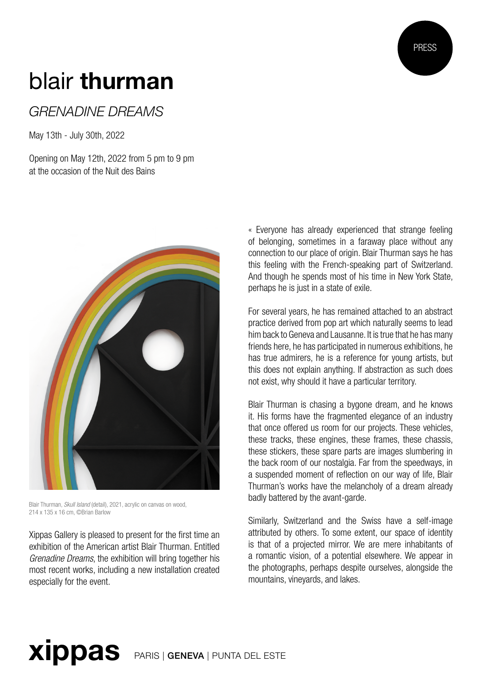## PRESS

## blair thurman

## *GRENADINE DREAMS*

May 13th - July 30th, 2022

Opening on May 12th, 2022 from 5 pm to 9 pm at the occasion of the Nuit des Bains



Blair Thurman, *Skull Island* (detail), 2021, acrylic on canvas on wood, 214 x 135 x 16 cm, ©Brian Barlow

Xippas Gallery is pleased to present for the first time an exhibition of the American artist Blair Thurman. Entitled *Grenadine Dreams*, the exhibition will bring together his most recent works, including a new installation created especially for the event.

« Everyone has already experienced that strange feeling of belonging, sometimes in a faraway place without any connection to our place of origin. Blair Thurman says he has this feeling with the French-speaking part of Switzerland. And though he spends most of his time in New York State, perhaps he is just in a state of exile.

For several years, he has remained attached to an abstract practice derived from pop art which naturally seems to lead him back to Geneva and Lausanne. It is true that he has many friends here, he has participated in numerous exhibitions, he has true admirers, he is a reference for young artists, but this does not explain anything. If abstraction as such does not exist, why should it have a particular territory.

Blair Thurman is chasing a bygone dream, and he knows it. His forms have the fragmented elegance of an industry that once offered us room for our projects. These vehicles, these tracks, these engines, these frames, these chassis, these stickers, these spare parts are images slumbering in the back room of our nostalgia. Far from the speedways, in a suspended moment of reflection on our way of life, Blair Thurman's works have the melancholy of a dream already badly battered by the avant-garde.

Similarly, Switzerland and the Swiss have a self-image attributed by others. To some extent, our space of identity is that of a projected mirror. We are mere inhabitants of a romantic vision, of a potential elsewhere. We appear in the photographs, perhaps despite ourselves, alongside the mountains, vineyards, and lakes.